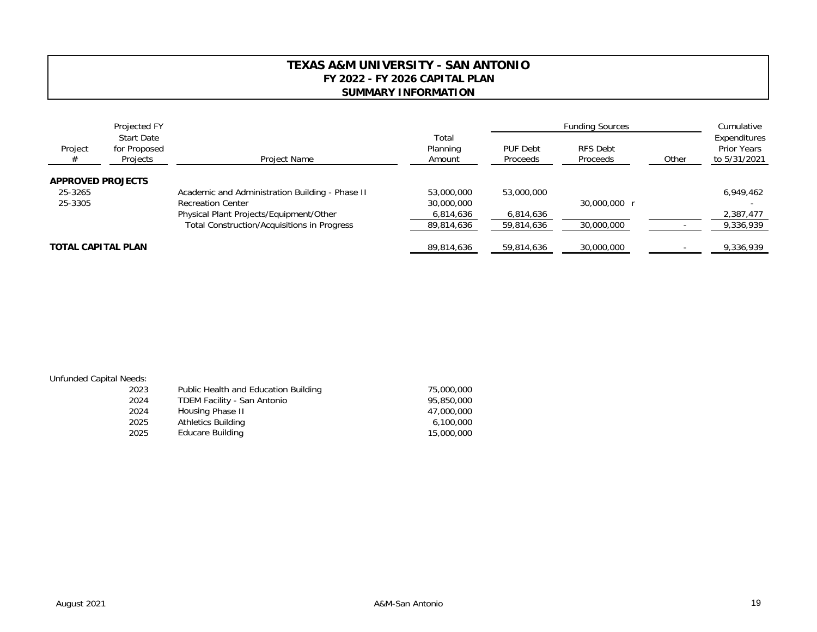## **TEXAS A&M UNIVERSITY - SAN ANTONIOFY 2022 - FY 2026 CAPITAL PLAN SUMMARY INFORMATION**

| Project<br>#              | Projected FY<br><b>Start Date</b><br>for Proposed<br>Projects | <b>Project Name</b>                                | Total<br>Planning<br>Amount | <b>Funding Sources</b>      |                      |       | Cumulative                                         |
|---------------------------|---------------------------------------------------------------|----------------------------------------------------|-----------------------------|-----------------------------|----------------------|-------|----------------------------------------------------|
|                           |                                                               |                                                    |                             | <b>PUF Debt</b><br>Proceeds | RFS Debt<br>Proceeds | Other | Expenditures<br><b>Prior Years</b><br>to 5/31/2021 |
| <b>APPROVED PROJECTS</b>  |                                                               |                                                    |                             |                             |                      |       |                                                    |
| 25-3265                   |                                                               | Academic and Administration Building - Phase II    | 53,000,000                  | 53,000,000                  |                      |       | 6,949,462                                          |
| 25-3305                   |                                                               | <b>Recreation Center</b>                           | 30,000,000                  |                             | 30,000,000 r         |       |                                                    |
|                           |                                                               | Physical Plant Projects/Equipment/Other            | 6,814,636                   | 6,814,636                   |                      |       | 2,387,477                                          |
|                           |                                                               | <b>Total Construction/Acquisitions in Progress</b> | 89,814,636                  | 59,814,636                  | 30,000,000           |       | 9,336,939                                          |
| <b>TOTAL CAPITAL PLAN</b> |                                                               |                                                    | 89.814.636                  | 59,814,636                  | 30,000,000           |       | 9,336,939                                          |

## Unfunded Capital Needs:

| 2023 | Public Health and Education Building | 75,000,000 |
|------|--------------------------------------|------------|
| 2024 | TDEM Facility - San Antonio          | 95,850,000 |
| 2024 | Housing Phase II                     | 47,000,000 |
| 2025 | Athletics Building                   | 6,100,000  |
| 2025 | Educare Building                     | 15,000,000 |